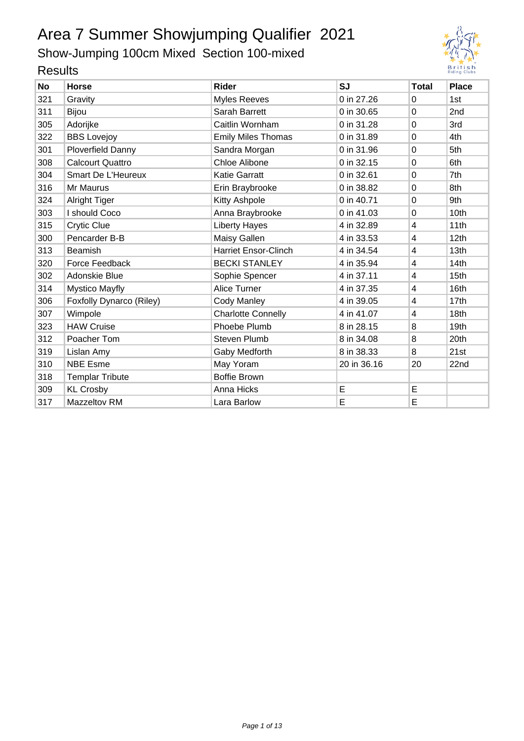Show-Jumping 100cm Mixed Section 100-mixed



| <b>No</b> | <b>Horse</b>             | <b>Rider</b>                | <b>SJ</b>   | <b>Total</b>            | <b>Place</b>     |  |  |  |  |
|-----------|--------------------------|-----------------------------|-------------|-------------------------|------------------|--|--|--|--|
| 321       | Gravity                  | <b>Myles Reeves</b>         | 0 in 27.26  | 0                       | 1st              |  |  |  |  |
| 311       | Bijou                    | Sarah Barrett               | 0 in 30.65  | 0                       | 2nd              |  |  |  |  |
| 305       | Adorijke                 | Caitlin Wornham             | 0 in 31.28  | $\mathbf 0$             | 3rd              |  |  |  |  |
| 322       | <b>BBS Lovejoy</b>       | <b>Emily Miles Thomas</b>   | 0 in 31.89  | $\mathbf 0$             | 4th              |  |  |  |  |
| 301       | <b>Ploverfield Danny</b> | Sandra Morgan               | 0 in 31.96  | $\mathbf 0$             | 5th              |  |  |  |  |
| 308       | <b>Calcourt Quattro</b>  | <b>Chloe Alibone</b>        | 0 in 32.15  | 0                       | 6th              |  |  |  |  |
| 304       | Smart De L'Heureux       | <b>Katie Garratt</b>        | 0 in 32.61  | 0                       | 7th              |  |  |  |  |
| 316       | Mr Maurus                | Erin Braybrooke             | 0 in 38.82  | $\mathbf 0$             | 8th              |  |  |  |  |
| 324       | <b>Alright Tiger</b>     | Kitty Ashpole               | 0 in 40.71  | 0                       | 9th              |  |  |  |  |
| 303       | I should Coco            | Anna Braybrooke             | 0 in 41.03  | $\mathbf 0$             | 10th             |  |  |  |  |
| 315       | Crytic Clue              | <b>Liberty Hayes</b>        | 4 in 32.89  | $\overline{\mathbf{4}}$ | 11th             |  |  |  |  |
| 300       | Pencarder B-B            | Maisy Gallen                | 4 in 33.53  | 4                       | 12 <sub>th</sub> |  |  |  |  |
| 313       | Beamish                  | <b>Harriet Ensor-Clinch</b> | 4 in 34.54  | 4                       | 13th             |  |  |  |  |
| 320       | Force Feedback           | <b>BECKI STANLEY</b>        | 4 in 35.94  | 4                       | 14th             |  |  |  |  |
| 302       | Adonskie Blue            | Sophie Spencer              | 4 in 37.11  | 4                       | 15 <sub>th</sub> |  |  |  |  |
| 314       | <b>Mystico Mayfly</b>    | Alice Turner                | 4 in 37.35  | 4                       | 16th             |  |  |  |  |
| 306       | Foxfolly Dynarco (Riley) | Cody Manley                 | 4 in 39.05  | 4                       | 17th             |  |  |  |  |
| 307       | Wimpole                  | <b>Charlotte Connelly</b>   | 4 in 41.07  | 4                       | 18th             |  |  |  |  |
| 323       | <b>HAW Cruise</b>        | Phoebe Plumb                | 8 in 28.15  | 8                       | 19th             |  |  |  |  |
| 312       | Poacher Tom              | <b>Steven Plumb</b>         | 8 in 34.08  | 8                       | 20th             |  |  |  |  |
| 319       | Lislan Amy               | Gaby Medforth               | 8 in 38.33  | 8                       | 21st             |  |  |  |  |
| 310       | <b>NBE Esme</b>          | May Yoram                   | 20 in 36.16 | 20                      | 22nd             |  |  |  |  |
| 318       | <b>Templar Tribute</b>   | <b>Boffie Brown</b>         |             |                         |                  |  |  |  |  |
| 309       | <b>KL Crosby</b>         | Anna Hicks                  | E           | E                       |                  |  |  |  |  |
| 317       | Mazzeltov RM             | Lara Barlow                 | E           | E                       |                  |  |  |  |  |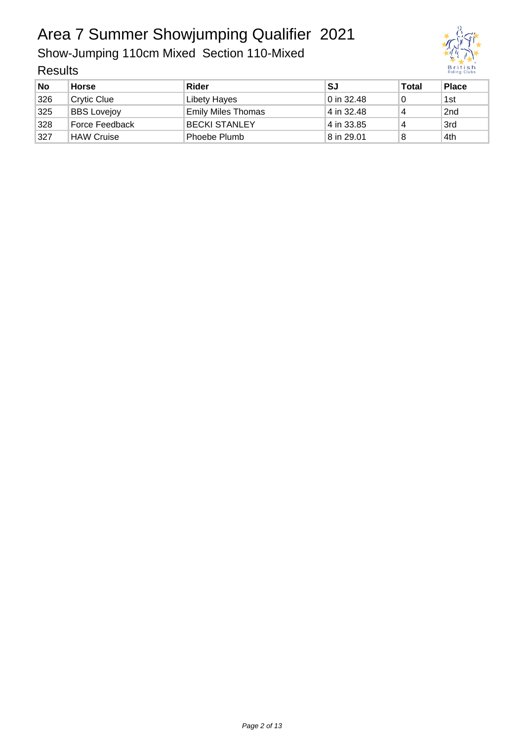Show-Jumping 110cm Mixed Section 110-Mixed

| <b>No</b> | <b>Horse</b>       | Rider                     | SJ         | <b>Total</b> | <b>Place</b> |
|-----------|--------------------|---------------------------|------------|--------------|--------------|
| 326       | <b>Crytic Clue</b> | Libety Hayes              | 0 in 32.48 | 0            | 1st          |
| 325       | <b>BBS</b> Lovejoy | <b>Emily Miles Thomas</b> | 4 in 32.48 | 4            | 2nd          |
| 328       | Force Feedback     | <b>BECKI STANLEY</b>      | 4 in 33.85 | 4            | 3rd          |
| 327       | <b>HAW Cruise</b>  | <sup>⊦</sup> Phoebe Plumb | 8 in 29.01 | 8            | 4th          |

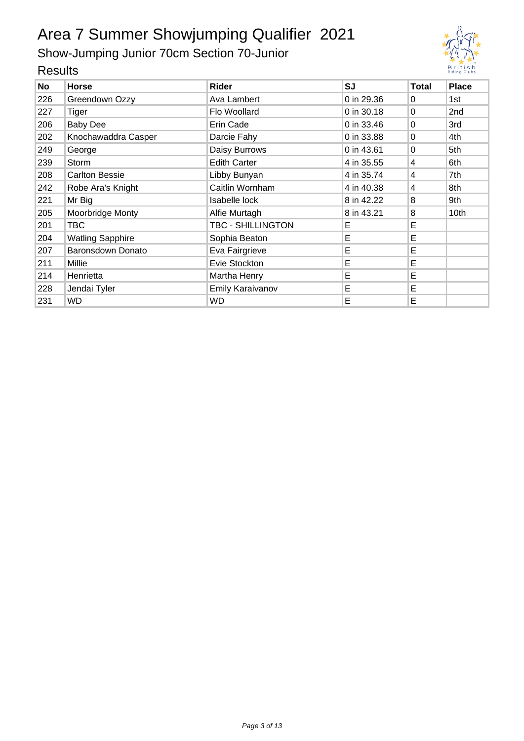Show-Jumping Junior 70cm Section 70-Junior



|           | .                       |                              |            |              |                 |  |  |  |  |
|-----------|-------------------------|------------------------------|------------|--------------|-----------------|--|--|--|--|
| <b>No</b> | <b>Horse</b>            | <b>Rider</b>                 | SJ         | <b>Total</b> | <b>Place</b>    |  |  |  |  |
| 226       | Greendown Ozzy          | Ava Lambert                  | 0 in 29.36 | 0            | 1st             |  |  |  |  |
| 227       | Tiger                   | Flo Woollard                 | 0 in 30.18 | 0            | 2 <sub>nd</sub> |  |  |  |  |
| 206       | <b>Baby Dee</b>         | Erin Cade                    | 0 in 33.46 | 0            | 3rd             |  |  |  |  |
| 202       | Knochawaddra Casper     | Darcie Fahy                  | 0 in 33.88 | $\Omega$     | 4th             |  |  |  |  |
| 249       | George                  | Daisy Burrows                | 0 in 43.61 | $\Omega$     | 5th             |  |  |  |  |
| 239       | Storm                   | <b>Edith Carter</b>          | 4 in 35.55 | 4            | 6th             |  |  |  |  |
| 208       | <b>Carlton Bessie</b>   | Libby Bunyan                 | 4 in 35.74 | 4            | 7th             |  |  |  |  |
| 242       | Robe Ara's Knight       | Caitlin Wornham              | 4 in 40.38 | 4            | 8th             |  |  |  |  |
| 221       | Mr Big                  | Isabelle lock                | 8 in 42.22 | 8            | 9th             |  |  |  |  |
| 205       | Moorbridge Monty        | Alfie Murtagh                | 8 in 43.21 | 8            | 10th            |  |  |  |  |
| 201       | TBC                     | TBC - SHILLINGTON            | Е          | E            |                 |  |  |  |  |
| 204       | <b>Watling Sapphire</b> | Sophia Beaton                | Е          | E            |                 |  |  |  |  |
| 207       | Baronsdown Donato       | Eva Fairgrieve               | Е          | E            |                 |  |  |  |  |
| 211       | Millie                  | Evie Stockton                | Е          | E            |                 |  |  |  |  |
| 214       | Henrietta               | Martha Henry                 | Е          | E            |                 |  |  |  |  |
| 228       | Jendai Tyler            | Е<br><b>Emily Karaivanov</b> |            | Е            |                 |  |  |  |  |
| 231       | WD                      | WD                           | Е          | Е            |                 |  |  |  |  |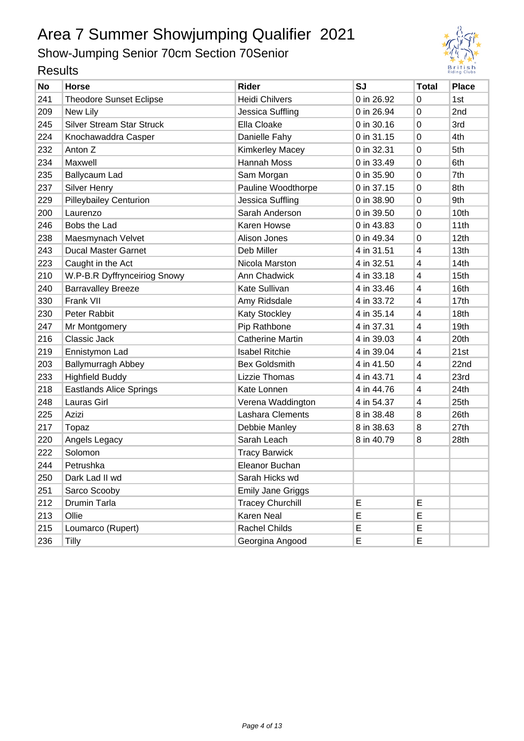Show-Jumping Senior 70cm Section 70Senior



| <b>No</b> | <b>Horse</b>                     | <b>Rider</b>             | <b>SJ</b>  | <b>Total</b> | <b>Place</b> |
|-----------|----------------------------------|--------------------------|------------|--------------|--------------|
| 241       | <b>Theodore Sunset Eclipse</b>   | <b>Heidi Chilvers</b>    | 0 in 26.92 | 0            | 1st          |
| 209       | New Lily                         | Jessica Suffling         | 0 in 26.94 | 0            | 2nd          |
| 245       | <b>Silver Stream Star Struck</b> | Ella Cloake              | 0 in 30.16 | 0            | 3rd          |
| 224       | Knochawaddra Casper              | Danielle Fahy            | 0 in 31.15 | 0            | 4th          |
| 232       | Anton Z                          | <b>Kimkerley Macey</b>   | 0 in 32.31 | 0            | 5th          |
| 234       | Maxwell                          | Hannah Moss              | 0 in 33.49 | 0            | 6th          |
| 235       | Ballycaum Lad                    | Sam Morgan               | 0 in 35.90 | 0            | 7th          |
| 237       | <b>Silver Henry</b>              | Pauline Woodthorpe       | 0 in 37.15 | 0            | 8th          |
| 229       | <b>Pilleybailey Centurion</b>    | Jessica Suffling         | 0 in 38.90 | 0            | 9th          |
| 200       | Laurenzo                         | Sarah Anderson           | 0 in 39.50 | 0            | 10th         |
| 246       | Bobs the Lad                     | Karen Howse              | 0 in 43.83 | 0            | 11th         |
| 238       | Maesmynach Velvet                | Alison Jones             | 0 in 49.34 | 0            | 12th         |
| 243       | <b>Ducal Master Garnet</b>       | Deb Miller               | 4 in 31.51 | 4            | 13th         |
| 223       | Caught in the Act                | Nicola Marston           | 4 in 32.51 | 4            | 14th         |
| 210       | W.P-B.R Dyffrynceiriog Snowy     | Ann Chadwick             | 4 in 33.18 | 4            | 15th         |
| 240       | <b>Barravalley Breeze</b>        | Kate Sullivan            | 4 in 33.46 | 4            | 16th         |
| 330       | Frank VII                        | Amy Ridsdale             | 4 in 33.72 | 4            | 17th         |
| 230       | Peter Rabbit                     | <b>Katy Stockley</b>     | 4 in 35.14 | 4            | 18th         |
| 247       | Mr Montgomery                    | Pip Rathbone             | 4 in 37.31 | 4            | 19th         |
| 216       | Classic Jack                     | <b>Catherine Martin</b>  | 4 in 39.03 | 4            | 20th         |
| 219       | Ennistymon Lad                   | <b>Isabel Ritchie</b>    | 4 in 39.04 | 4            | 21st         |
| 203       | <b>Ballymurragh Abbey</b>        | <b>Bex Goldsmith</b>     | 4 in 41.50 | 4            | 22nd         |
| 233       | <b>Highfield Buddy</b>           | Lizzie Thomas            | 4 in 43.71 | 4            | 23rd         |
| 218       | <b>Eastlands Alice Springs</b>   | Kate Lonnen              | 4 in 44.76 | 4            | 24th         |
| 248       | Lauras Girl                      | Verena Waddington        | 4 in 54.37 | 4            | 25th         |
| 225       | Azizi                            | Lashara Clements         | 8 in 38.48 | 8            | 26th         |
| 217       | Topaz                            | Debbie Manley            | 8 in 38.63 | 8            | 27th         |
| 220       | Angels Legacy                    | Sarah Leach              | 8 in 40.79 | 8            | 28th         |
| 222       | Solomon                          | <b>Tracy Barwick</b>     |            |              |              |
| 244       | Petrushka                        | Eleanor Buchan           |            |              |              |
| 250       | Dark Lad II wd                   | Sarah Hicks wd           |            |              |              |
| 251       | Sarco Scooby                     | <b>Emily Jane Griggs</b> |            |              |              |
| 212       | Drumin Tarla                     | <b>Tracey Churchill</b>  | E          | E            |              |
| 213       | Ollie                            | Karen Neal               | E          | E            |              |
| 215       | Loumarco (Rupert)                | Rachel Childs            | E          | E            |              |
| 236       | <b>Tilly</b>                     | Georgina Angood          | E          | E            |              |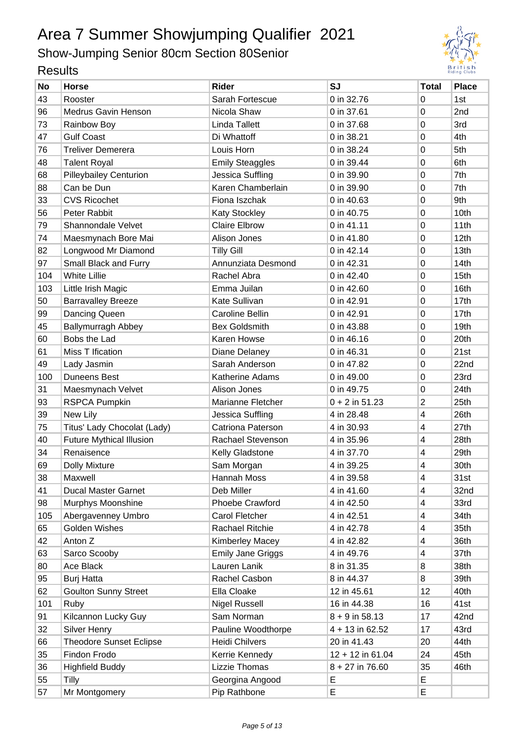Show-Jumping Senior 80cm Section 80Senior



| <b>No</b> | <b>Horse</b>                    | <b>Rider</b>             | <b>SJ</b>          | <b>Total</b> | <b>Place</b>     |
|-----------|---------------------------------|--------------------------|--------------------|--------------|------------------|
| 43        | Rooster                         | Sarah Fortescue          | 0 in 32.76         | 0            | 1st              |
| 96        | <b>Medrus Gavin Henson</b>      | Nicola Shaw              | 0 in 37.61         | 0            | 2nd              |
| 73        | Rainbow Boy                     | Linda Tallett            | 0 in 37.68         | 0            | 3rd              |
| 47        | <b>Gulf Coast</b>               | Di Whattoff              | 0 in 38.21         | 0            | 4th              |
| 76        | <b>Treliver Demerera</b>        | Louis Horn               | 0 in 38.24         | 0            | 5th              |
| 48        | <b>Talent Royal</b>             | <b>Emily Steaggles</b>   | 0 in 39.44         | 0            | 6th              |
| 68        | <b>Pilleybailey Centurion</b>   | Jessica Suffling         | 0 in 39.90         | 0            | 7th              |
| 88        | Can be Dun                      | Karen Chamberlain        | 0 in 39.90         | 0            | 7th              |
| 33        | <b>CVS Ricochet</b>             | Fiona Iszchak            | 0 in 40.63         | 0            | 9th              |
| 56        | Peter Rabbit                    | <b>Katy Stockley</b>     | 0 in 40.75         | 0            | 10th             |
| 79        | <b>Shannondale Velvet</b>       | <b>Claire Elbrow</b>     | 0 in 41.11         | 0            | 11th             |
| 74        | Maesmynach Bore Mai             | Alison Jones             | 0 in 41.80         | 0            | 12th             |
| 82        | Longwood Mr Diamond             | <b>Tilly Gill</b>        | 0 in 42.14         | 0            | 13th             |
| 97        | Small Black and Furry           | Annunziata Desmond       | 0 in 42.31         | 0            | 14th             |
| 104       | <b>White Lillie</b>             | Rachel Abra              | 0 in 42.40         | 0            | 15 <sub>th</sub> |
| 103       | Little Irish Magic              | Emma Juilan              | 0 in 42.60         | 0            | 16th             |
| 50        | <b>Barravalley Breeze</b>       | Kate Sullivan            | 0 in 42.91         | 0            | 17th             |
| 99        | Dancing Queen                   | <b>Caroline Bellin</b>   | 0 in 42.91         | 0            | 17th             |
| 45        | <b>Ballymurragh Abbey</b>       | <b>Bex Goldsmith</b>     | 0 in 43.88         | 0            | 19th             |
| 60        | Bobs the Lad                    | Karen Howse              | 0 in 46.16         | 0            | 20th             |
| 61        | Miss T Ification                | Diane Delaney            | 0 in 46.31         | 0            | 21st             |
| 49        | Lady Jasmin                     | Sarah Anderson           | 0 in 47.82         | 0            | 22nd             |
| 100       | <b>Duneens Best</b>             | Katherine Adams          | 0 in 49.00         | 0            | 23rd             |
| 31        | Maesmynach Velvet               | Alison Jones             | 0 in 49.75         | 0            | 24th             |
| 93        | RSPCA Pumpkin                   | Marianne Fletcher        | $0 + 2$ in 51.23   | 2            | 25th             |
| 39        | New Lily                        | Jessica Suffling         | 4 in 28.48         | 4            | 26th             |
| 75        | Titus' Lady Chocolat (Lady)     | <b>Catriona Paterson</b> | 4 in 30.93         | 4            | 27th             |
| 40        | <b>Future Mythical Illusion</b> | Rachael Stevenson        | 4 in 35.96         | 4            | 28th             |
| 34        | Renaisence                      | Kelly Gladstone          | 4 in 37.70         | 4            | 29th             |
| 69        | <b>Dolly Mixture</b>            | Sam Morgan               | 4 in 39.25         | 4            | 30th             |
| 38        | Maxwell                         | Hannah Moss              | 4 in 39.58         | 4            | 31st             |
| 41        | Ducal Master Garnet             | Deb Miller               | 4 in 41.60         | 4            | 32nd             |
| 98        | Murphys Moonshine               | Phoebe Crawford          | 4 in 42.50         | 4            | 33rd             |
| 105       | Abergavenney Umbro              | Carol Fletcher           | 4 in 42.51         | 4            | 34th             |
| 65        | Golden Wishes                   | Rachael Ritchie          | 4 in 42.78         | 4            | 35th             |
| 42        | Anton Z                         | <b>Kimberley Macey</b>   | 4 in 42.82         | 4            | 36th             |
| 63        | Sarco Scooby                    | <b>Emily Jane Griggs</b> | 4 in 49.76         | 4            | 37th             |
| 80        | Ace Black                       | Lauren Lanik             | 8 in 31.35         | 8            | 38th             |
| 95        | <b>Burj Hatta</b>               | Rachel Casbon            | 8 in 44.37         | 8            | 39th             |
| 62        | <b>Goulton Sunny Street</b>     | Ella Cloake              | 12 in 45.61        | 12           | 40th             |
| 101       | Ruby                            | <b>Nigel Russell</b>     | 16 in 44.38        | 16           | 41st             |
| 91        | Kilcannon Lucky Guy             | Sam Norman               | $8 + 9$ in 58.13   | 17           | 42nd             |
| 32        | Silver Henry                    | Pauline Woodthorpe       | 4 + 13 in 62.52    | 17           | 43rd             |
| 66        | <b>Theodore Sunset Eclipse</b>  | Heidi Chilvers           | 20 in 41.43        | 20           | 44th             |
| 35        | Findon Frodo                    | Kerrie Kennedy           | $12 + 12$ in 61.04 | 24           | 45th             |
| 36        | <b>Highfield Buddy</b>          | Lizzie Thomas            | $8 + 27$ in 76.60  | 35           | 46th             |
| 55        | Tilly                           | Georgina Angood          | E                  | Е            |                  |
| 57        | Mr Montgomery                   | Pip Rathbone             | E                  | E            |                  |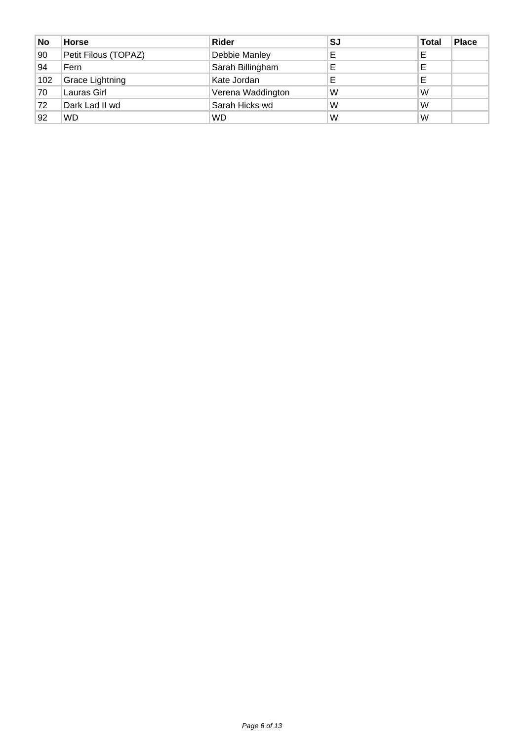| <b>No</b> | <b>Horse</b>         | Rider             | SJ | <b>Total</b> | <b>Place</b> |
|-----------|----------------------|-------------------|----|--------------|--------------|
| 90        | Petit Filous (TOPAZ) | Debbie Manley     |    | Е            |              |
| 94        | Fern                 | Sarah Billingham  |    | Е            |              |
| 102       | Grace Lightning      | Kate Jordan       | E  | E            |              |
| 70        | Lauras Girl          | Verena Waddington | W  | W            |              |
| 72        | Dark Lad II wd       | Sarah Hicks wd    | W  | W            |              |
| 92        | <b>WD</b>            | <b>WD</b>         | W  | W            |              |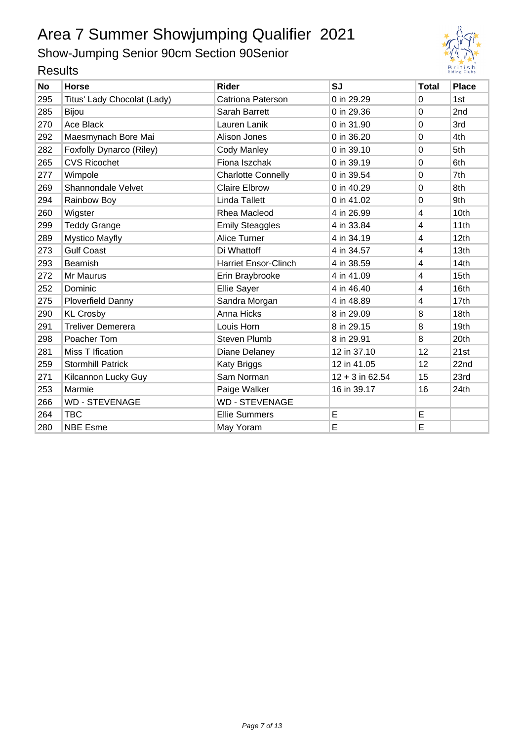## Show-Jumping Senior 90cm Section 90Senior



| noouito   |                             |                             |                   |              |                 |
|-----------|-----------------------------|-----------------------------|-------------------|--------------|-----------------|
| <b>No</b> | <b>Horse</b>                | <b>Rider</b>                | <b>SJ</b>         | <b>Total</b> | <b>Place</b>    |
| 295       | Titus' Lady Chocolat (Lady) | Catriona Paterson           | 0 in 29.29        | $\Omega$     | 1st             |
| 285       | <b>Bijou</b>                | Sarah Barrett               | 0 in 29.36        | $\Omega$     | 2 <sub>nd</sub> |
| 270       | Ace Black                   | Lauren Lanik                | 0 in 31.90        | $\Omega$     | 3rd             |
| 292       | Maesmynach Bore Mai         | Alison Jones                | 0 in 36.20        | $\Omega$     | 4th             |
| 282       | Foxfolly Dynarco (Riley)    | <b>Cody Manley</b>          | 0 in 39.10        | 0            | 5th             |
| 265       | <b>CVS Ricochet</b>         | Fiona Iszchak               | 0 in 39.19        | 0            | 6th             |
| 277       | Wimpole                     | <b>Charlotte Connelly</b>   | 0 in 39.54        | $\Omega$     | 7th             |
| 269       | Shannondale Velvet          | <b>Claire Elbrow</b>        | 0 in 40.29        | $\Omega$     | 8th             |
| 294       | Rainbow Boy                 | Linda Tallett               | 0 in 41.02        | $\Omega$     | 9th             |
| 260       | Wigster                     | Rhea Macleod                | 4 in 26.99        | 4            | 10th            |
| 299       | <b>Teddy Grange</b>         | <b>Emily Steaggles</b>      | 4 in 33.84        | 4            | 11th            |
| 289       | <b>Mystico Mayfly</b>       | Alice Turner                | 4 in 34.19        | 4            | 12th            |
| 273       | <b>Gulf Coast</b>           | Di Whattoff                 | 4 in 34.57        | 4            | 13th            |
| 293       | Beamish                     | <b>Harriet Ensor-Clinch</b> | 4 in 38.59        | 4            | 14th            |
| 272       | Mr Maurus                   | Erin Braybrooke             | 4 in 41.09        | 4            | 15th            |
| 252       | Dominic                     | <b>Ellie Sayer</b>          | 4 in 46.40        | 4            | 16th            |
| 275       | <b>Ploverfield Danny</b>    | Sandra Morgan               | 4 in 48.89        | 4            | 17th            |
| 290       | <b>KL Crosby</b>            | Anna Hicks                  | 8 in 29.09        | 8            | 18th            |
| 291       | <b>Treliver Demerera</b>    | Louis Horn                  | 8 in 29.15        | 8            | 19th            |
| 298       | Poacher Tom                 | <b>Steven Plumb</b>         | 8 in 29.91        | 8            | 20th            |
| 281       | Miss T Ification            | Diane Delaney               | 12 in 37.10       | 12           | 21st            |
| 259       | <b>Stormhill Patrick</b>    | Katy Briggs                 | 12 in 41.05       | 12           | 22nd            |
| 271       | Kilcannon Lucky Guy         | Sam Norman                  | $12 + 3$ in 62.54 | 15           | 23rd            |
| 253       | Marmie                      | Paige Walker                | 16 in 39.17       | 16           | 24th            |
| 266       | <b>WD - STEVENAGE</b>       | <b>WD - STEVENAGE</b>       |                   |              |                 |
| 264       | <b>TBC</b>                  | <b>Ellie Summers</b>        | E                 | E            |                 |
| 280       | <b>NBE Esme</b>             | May Yoram                   | E                 | E            |                 |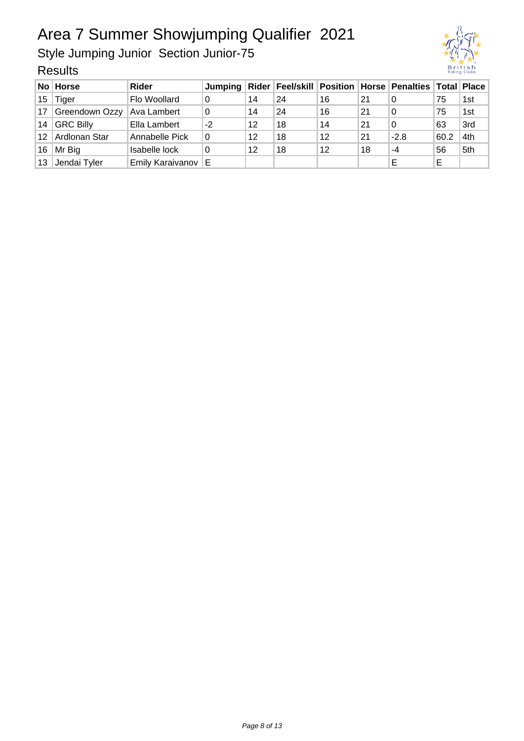Style Jumping Junior Section Junior-75



|                 | No Horse                 | Rider                   |      |    |    |    |    | Jumping   Rider   Feel/skill   Position   Horse   Penalties   Total   Place |      |     |
|-----------------|--------------------------|-------------------------|------|----|----|----|----|-----------------------------------------------------------------------------|------|-----|
|                 | 15 $\sqrt{\text{Tiger}}$ | Flo Woollard            | 0    | 14 | 24 | 16 | 21 | 0                                                                           | 75   | 1st |
|                 | 17 Greendown Ozzy        | Ava Lambert             | 0    | 14 | 24 | 16 | 21 | 0                                                                           | 75   | 1st |
|                 | 14 GRC Billy             | Ella Lambert            | $-2$ | 12 | 18 | 14 | 21 | 0                                                                           | 63   | 3rd |
|                 | 12   Ardlonan Star       | Annabelle Pick          | 0    | 12 | 18 | 12 | 21 | $-2.8$                                                                      | 60.2 | 4th |
|                 | 16   Mr Big              | Isabelle lock           | 0    | 12 | 18 | 12 | 18 | $-4$                                                                        | 56   | 5th |
| 13 <sup>°</sup> | Jendai Tyler             | <b>Emily Karaivanov</b> | Е    |    |    |    |    |                                                                             | E    |     |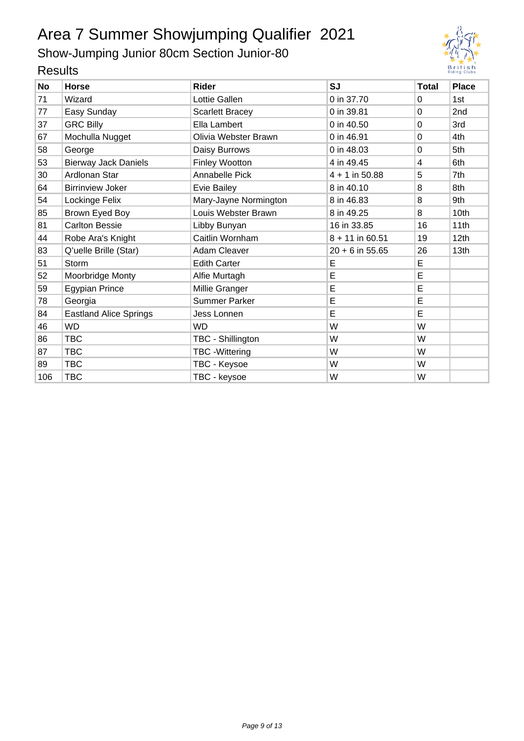Show-Jumping Junior 80cm Section Junior-80



| <b>טוועטאו</b> |                               |                        |                   |              |              |
|----------------|-------------------------------|------------------------|-------------------|--------------|--------------|
| <b>No</b>      | <b>Horse</b>                  | <b>Rider</b>           | <b>SJ</b>         | <b>Total</b> | <b>Place</b> |
| 71             | Wizard                        | Lottie Gallen          | 0 in 37.70        | $\Omega$     | 1st          |
| 77             | Easy Sunday                   | <b>Scarlett Bracey</b> | 0 in 39.81        | $\Omega$     | 2nd          |
| 37             | <b>GRC Billy</b>              | Ella Lambert           | 0 in 40.50        | 0            | 3rd          |
| 67             | Mochulla Nugget               | Olivia Webster Brawn   | 0 in 46.91        | 0            | 4th          |
| 58             | George                        | Daisy Burrows          | 0 in 48.03        | $\Omega$     | 5th          |
| 53             | <b>Bierway Jack Daniels</b>   | <b>Finley Wootton</b>  | 4 in 49.45        | 4            | 6th          |
| 30             | Ardlonan Star                 | Annabelle Pick         | $4 + 1$ in 50.88  | 5            | 7th          |
| 64             | <b>Birrinview Joker</b>       | Evie Bailey            | 8 in 40.10        | 8            | 8th          |
| 54             | Lockinge Felix                | Mary-Jayne Normington  | 8 in 46.83        | 8            | 9th          |
| 85             | Brown Eyed Boy                | Louis Webster Brawn    | 8 in 49.25        | 8            | 10th         |
| 81             | <b>Carlton Bessie</b>         | Libby Bunyan           | 16 in 33.85       | 16           | 11th         |
| 44             | Robe Ara's Knight             | Caitlin Wornham        | $8 + 11$ in 60.51 | 19           | 12th         |
| 83             | Q'uelle Brille (Star)         | <b>Adam Cleaver</b>    | $20 + 6$ in 55.65 | 26           | 13th         |
| 51             | <b>Storm</b>                  | <b>Edith Carter</b>    | E                 | E            |              |
| 52             | Moorbridge Monty              | Alfie Murtagh          | E                 | E            |              |
| 59             | Egypian Prince                | Millie Granger         | E                 | E            |              |
| 78             | Georgia                       | Summer Parker          | E                 | E            |              |
| 84             | <b>Eastland Alice Springs</b> | Jess Lonnen            | E                 | E            |              |
| 46             | <b>WD</b>                     | <b>WD</b>              | W                 | W            |              |
| 86             | <b>TBC</b>                    | TBC - Shillington      | W                 | W            |              |
| 87             | <b>TBC</b>                    | <b>TBC</b> - Wittering | W                 | W            |              |
| 89             | <b>TBC</b>                    | TBC - Keysoe           | W                 | W            |              |
| 106            | <b>TBC</b>                    | TBC - keysoe           | W                 | W            |              |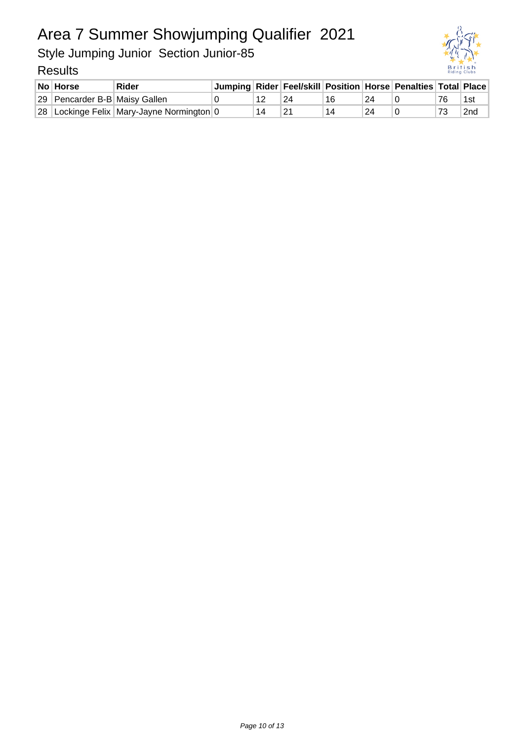Style Jumping Junior Section Junior-85



| No Horse                      | Rider                                     |  |    |    |    | Jumping   Rider   Feel/skill   Position   Horse   Penalties   Total   Place |                 |
|-------------------------------|-------------------------------------------|--|----|----|----|-----------------------------------------------------------------------------|-----------------|
| 29 Pencarder B-B Maisy Gallen |                                           |  | 24 | 16 | 24 |                                                                             | 1st             |
|                               | 28 Lockinge Felix Mary-Jayne Normington 0 |  | 21 |    | 24 |                                                                             | 2 <sub>nd</sub> |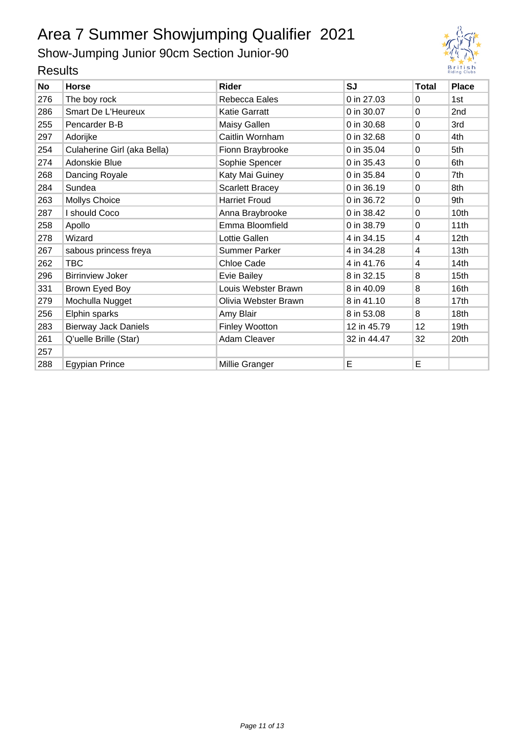Show-Jumping Junior 90cm Section Junior-90



| <b>SJ</b><br>0 in 27.03<br>0 in 30.07<br>0 in 30.68<br>0 in 32.68 | <b>Total</b><br>0<br>$\Omega$<br>$\Omega$ | <b>Place</b><br>1st<br>2 <sub>nd</sub>                                          |
|-------------------------------------------------------------------|-------------------------------------------|---------------------------------------------------------------------------------|
|                                                                   |                                           |                                                                                 |
|                                                                   |                                           |                                                                                 |
|                                                                   |                                           |                                                                                 |
|                                                                   |                                           | 3rd                                                                             |
|                                                                   |                                           | 4th                                                                             |
| 0 in 35.04                                                        |                                           | 5th                                                                             |
| 0 in 35.43                                                        |                                           | 6th                                                                             |
| 0 in 35.84                                                        |                                           | 7th                                                                             |
| 0 in 36.19                                                        |                                           | 8th                                                                             |
| 0 in 36.72<br>0                                                   |                                           | 9th                                                                             |
| 0 in 38.42                                                        |                                           | 10th                                                                            |
| 0 in 38.79                                                        |                                           | 11th                                                                            |
| 4 in 34.15                                                        | 4                                         | 12th                                                                            |
| 4 in 34.28                                                        | 4                                         | 13th                                                                            |
| 4 in 41.76                                                        | 4                                         | 14th                                                                            |
| 8 in 32.15                                                        |                                           | 15th                                                                            |
| 8 in 40.09                                                        |                                           | 16th                                                                            |
| 8 in 41.10                                                        |                                           | 17th                                                                            |
| 8 in 53.08                                                        |                                           | 18th                                                                            |
| 12 in 45.79                                                       | 12                                        | 19th                                                                            |
| 32 in 44.47                                                       | 32                                        | 20th                                                                            |
|                                                                   |                                           |                                                                                 |
| E                                                                 | E                                         |                                                                                 |
|                                                                   |                                           | $\Omega$<br>$\Omega$<br>0<br>0<br>0<br>$\Omega$<br>$\Omega$<br>8<br>8<br>8<br>8 |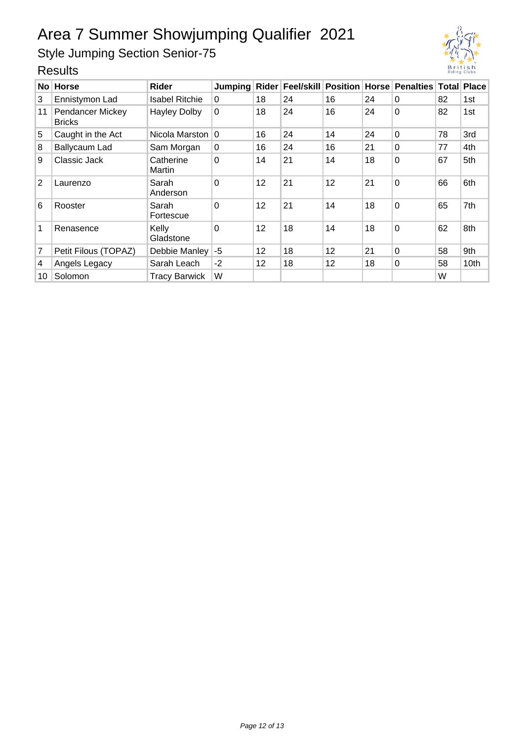Style Jumping Section Senior-75

| No l | <b>Horse</b>                             | Rider                 | Jumping  |                 |    |    |    | Rider   Feel/skill   Position   Horse   Penalties   Total   Place |    |      |
|------|------------------------------------------|-----------------------|----------|-----------------|----|----|----|-------------------------------------------------------------------|----|------|
| 3    | Ennistymon Lad                           | <b>Isabel Ritchie</b> | $\Omega$ | 18              | 24 | 16 | 24 | $\Omega$                                                          | 82 | 1st  |
| 11   | <b>Pendancer Mickey</b><br><b>Bricks</b> | <b>Hayley Dolby</b>   | $\Omega$ | 18              | 24 | 16 | 24 | 0                                                                 | 82 | 1st  |
| 5    | Caught in the Act                        | Nicola Marston        | $\Omega$ | 16              | 24 | 14 | 24 | $\Omega$                                                          | 78 | 3rd  |
| 8    | <b>Ballycaum Lad</b>                     | Sam Morgan            | $\Omega$ | 16              | 24 | 16 | 21 | $\Omega$                                                          | 77 | 4th  |
| 9    | Classic Jack                             | Catherine<br>Martin   | $\Omega$ | 14              | 21 | 14 | 18 | 0                                                                 | 67 | 5th  |
| 2    | Laurenzo                                 | Sarah<br>Anderson     | $\Omega$ | 12 <sup>2</sup> | 21 | 12 | 21 | 0                                                                 | 66 | 6th  |
| 6    | Rooster                                  | Sarah<br>Fortescue    | $\Omega$ | 12              | 21 | 14 | 18 | 0                                                                 | 65 | 7th  |
| 1    | Renasence                                | Kelly<br>Gladstone    | $\Omega$ | 12              | 18 | 14 | 18 | 0                                                                 | 62 | 8th  |
| 7    | Petit Filous (TOPAZ)                     | Debbie Manley         | -5       | 12              | 18 | 12 | 21 | $\Omega$                                                          | 58 | 9th  |
| 4    | Angels Legacy                            | Sarah Leach           | $-2$     | 12              | 18 | 12 | 18 | 0                                                                 | 58 | 10th |
| 10   | Solomon                                  | <b>Tracy Barwick</b>  | W        |                 |    |    |    |                                                                   | W  |      |